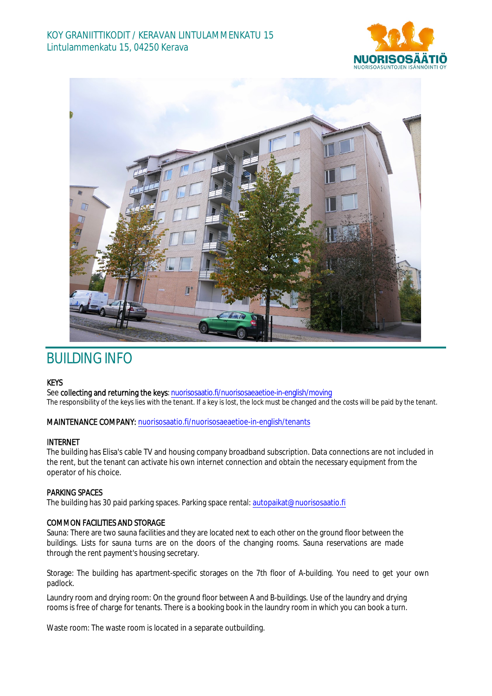



# BUILDING INFO

## KEYS

See collecting and returning the keys: nuorisosaatio.fi/nuorisosaeaetioe-in-english/moving The responsibility of the keys lies with the tenant. If a key is lost, the lock must be changed and the costs will be paid by the tenant.

#### MAINTENANCE COMPANY: nuorisosaatio.fi/nuorisosaeaetioe-in-english/tenants

#### INTERNET

The building has Elisa's cable TV and housing company broadband subscription. Data connections are not included in the rent, but the tenant can activate his own internet connection and obtain the necessary equipment from the operator of his choice.

### PARKING SPACES

The building has 30 paid parking spaces. Parking space rental: autopaikat@nuorisosaatio.fi

#### COMMON FACILITIES AND STORAGE

Sauna: There are two sauna facilities and they are located next to each other on the ground floor between the buildings. Lists for sauna turns are on the doors of the changing rooms. Sauna reservations are made through the rent payment's housing secretary.

Storage: The building has apartment-specific storages on the 7th floor of A-building. You need to get your own padlock.

Laundry room and drying room: On the ground floor between A and B-buildings. Use of the laundry and drying rooms is free of charge for tenants. There is a booking book in the laundry room in which you can book a turn.

Waste room: The waste room is located in a separate outbuilding.